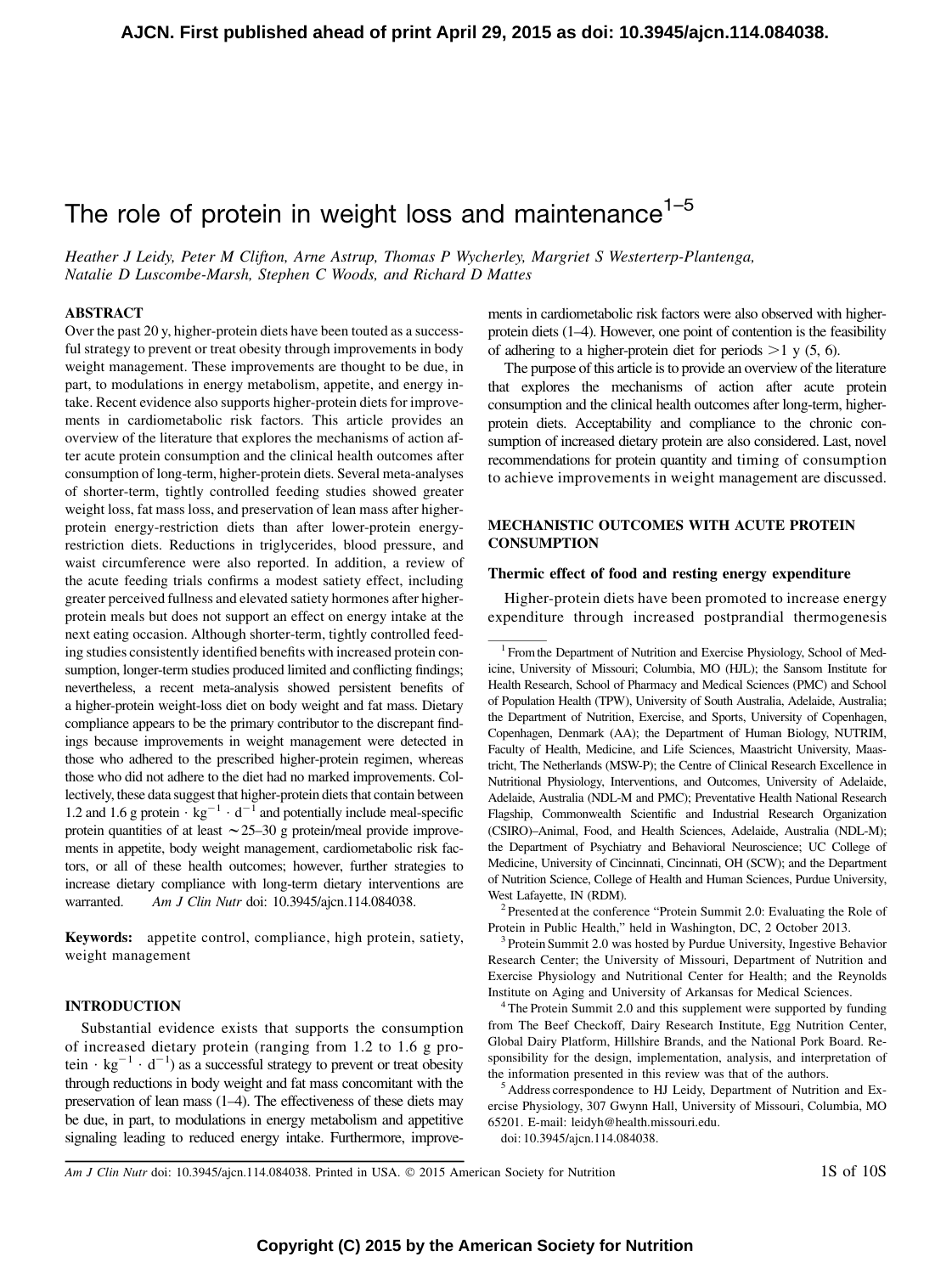# The role of protein in weight loss and maintenance $1-5$

Heather J Leidy, Peter M Clifton, Arne Astrup, Thomas P Wycherley, Margriet S Westerterp-Plantenga, Natalie D Luscombe-Marsh, Stephen C Woods, and Richard D Mattes

#### ABSTRACT

Over the past 20 y, higher-protein diets have been touted as a successful strategy to prevent or treat obesity through improvements in body weight management. These improvements are thought to be due, in part, to modulations in energy metabolism, appetite, and energy intake. Recent evidence also supports higher-protein diets for improvements in cardiometabolic risk factors. This article provides an overview of the literature that explores the mechanisms of action after acute protein consumption and the clinical health outcomes after consumption of long-term, higher-protein diets. Several meta-analyses of shorter-term, tightly controlled feeding studies showed greater weight loss, fat mass loss, and preservation of lean mass after higherprotein energy-restriction diets than after lower-protein energyrestriction diets. Reductions in triglycerides, blood pressure, and waist circumference were also reported. In addition, a review of the acute feeding trials confirms a modest satiety effect, including greater perceived fullness and elevated satiety hormones after higherprotein meals but does not support an effect on energy intake at the next eating occasion. Although shorter-term, tightly controlled feeding studies consistently identified benefits with increased protein consumption, longer-term studies produced limited and conflicting findings; nevertheless, a recent meta-analysis showed persistent benefits of a higher-protein weight-loss diet on body weight and fat mass. Dietary compliance appears to be the primary contributor to the discrepant findings because improvements in weight management were detected in those who adhered to the prescribed higher-protein regimen, whereas those who did not adhere to the diet had no marked improvements. Collectively, these data suggest that higher-protein diets that contain between 1.2 and 1.6 g protein  $\cdot$  kg<sup>-1</sup>  $\cdot$  d<sup>-1</sup> and potentially include meal-specific protein quantities of at least  $\sim$  25–30 g protein/meal provide improvements in appetite, body weight management, cardiometabolic risk factors, or all of these health outcomes; however, further strategies to increase dietary compliance with long-term dietary interventions are warranted. Am J Clin Nutr doi: 10.3945/ajcn.114.084038.

Keywords: appetite control, compliance, high protein, satiety, weight management

## INTRODUCTION

Substantial evidence exists that supports the consumption of increased dietary protein (ranging from 1.2 to 1.6 g protein  $\cdot$  kg<sup>-1</sup>  $\cdot$  d<sup>-1</sup>) as a successful strategy to prevent or treat obesity through reductions in body weight and fat mass concomitant with the preservation of lean mass (1–4). The effectiveness of these diets may be due, in part, to modulations in energy metabolism and appetitive signaling leading to reduced energy intake. Furthermore, improvements in cardiometabolic risk factors were also observed with higherprotein diets (1–4). However, one point of contention is the feasibility of adhering to a higher-protein diet for periods  $>1$  y (5, 6).

The purpose of this article is to provide an overview of the literature that explores the mechanisms of action after acute protein consumption and the clinical health outcomes after long-term, higherprotein diets. Acceptability and compliance to the chronic consumption of increased dietary protein are also considered. Last, novel recommendations for protein quantity and timing of consumption to achieve improvements in weight management are discussed.

## MECHANISTIC OUTCOMES WITH ACUTE PROTEIN **CONSUMPTION**

#### Thermic effect of food and resting energy expenditure

Higher-protein diets have been promoted to increase energy expenditure through increased postprandial thermogenesis

Protein in Public Health," held in Washington, DC, 2 October 2013. <sup>3</sup> Protein Summit 2.0 was hosted by Purdue University, Ingestive Behavior

Research Center; the University of Missouri, Department of Nutrition and Exercise Physiology and Nutritional Center for Health; and the Reynolds Institute on Aging and University of Arkansas for Medical Sciences.

 $4$  The Protein Summit 2.0 and this supplement were supported by funding from The Beef Checkoff, Dairy Research Institute, Egg Nutrition Center, Global Dairy Platform, Hillshire Brands, and the National Pork Board. Responsibility for the design, implementation, analysis, and interpretation of the information presented in this review was that of the authors.<br><sup>5</sup> Address correspondence to HJ Leidy, Department of Nutrition and Ex-

ercise Physiology, 307 Gwynn Hall, University of Missouri, Columbia, MO 65201. E-mail: leidyh@health.missouri.edu.

doi: 10.3945/ajcn.114.084038.

Am J Clin Nutr doi: 10.3945/ajcn.114.084038. Printed in USA. © 2015 American Society for Nutrition 1S of 10S

<sup>&</sup>lt;sup>1</sup> From the Department of Nutrition and Exercise Physiology, School of Medicine, University of Missouri; Columbia, MO (HJL); the Sansom Institute for Health Research, School of Pharmacy and Medical Sciences (PMC) and School of Population Health (TPW), University of South Australia, Adelaide, Australia; the Department of Nutrition, Exercise, and Sports, University of Copenhagen, Copenhagen, Denmark (AA); the Department of Human Biology, NUTRIM, Faculty of Health, Medicine, and Life Sciences, Maastricht University, Maastricht, The Netherlands (MSW-P); the Centre of Clinical Research Excellence in Nutritional Physiology, Interventions, and Outcomes, University of Adelaide, Adelaide, Australia (NDL-M and PMC); Preventative Health National Research Flagship, Commonwealth Scientific and Industrial Research Organization (CSIRO)–Animal, Food, and Health Sciences, Adelaide, Australia (NDL-M); the Department of Psychiatry and Behavioral Neuroscience; UC College of Medicine, University of Cincinnati, Cincinnati, OH (SCW); and the Department of Nutrition Science, College of Health and Human Sciences, Purdue University, West Lafayette, IN (RDM).<br><sup>2</sup> Presented at the conference "Protein Summit 2.0: Evaluating the Role of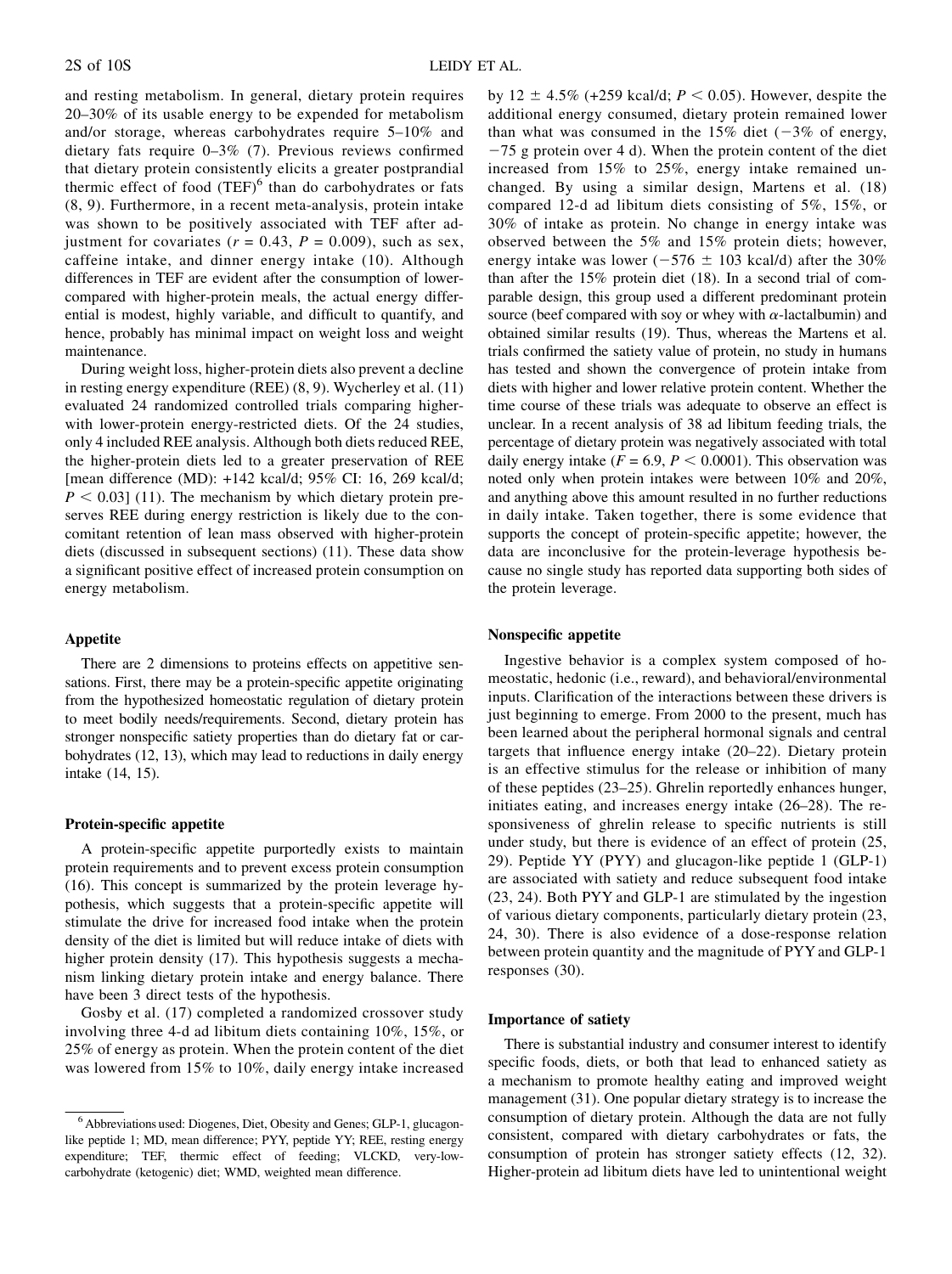and resting metabolism. In general, dietary protein requires 20–30% of its usable energy to be expended for metabolism and/or storage, whereas carbohydrates require 5–10% and dietary fats require 0–3% (7). Previous reviews confirmed that dietary protein consistently elicits a greater postprandial thermic effect of food  $(TEF)^6$  than do carbohydrates or fats (8, 9). Furthermore, in a recent meta-analysis, protein intake was shown to be positively associated with TEF after adjustment for covariates ( $r = 0.43$ ,  $P = 0.009$ ), such as sex, caffeine intake, and dinner energy intake (10). Although differences in TEF are evident after the consumption of lowercompared with higher-protein meals, the actual energy differential is modest, highly variable, and difficult to quantify, and hence, probably has minimal impact on weight loss and weight maintenance.

During weight loss, higher-protein diets also prevent a decline in resting energy expenditure (REE) (8, 9). Wycherley et al. (11) evaluated 24 randomized controlled trials comparing higherwith lower-protein energy-restricted diets. Of the 24 studies, only 4 included REE analysis. Although both diets reduced REE, the higher-protein diets led to a greater preservation of REE [mean difference (MD): +142 kcal/d; 95% CI: 16, 269 kcal/d;  $P < 0.03$ ] (11). The mechanism by which dietary protein preserves REE during energy restriction is likely due to the concomitant retention of lean mass observed with higher-protein diets (discussed in subsequent sections) (11). These data show a significant positive effect of increased protein consumption on energy metabolism.

## Appetite

There are 2 dimensions to proteins effects on appetitive sensations. First, there may be a protein-specific appetite originating from the hypothesized homeostatic regulation of dietary protein to meet bodily needs/requirements. Second, dietary protein has stronger nonspecific satiety properties than do dietary fat or carbohydrates (12, 13), which may lead to reductions in daily energy intake (14, 15).

#### Protein-specific appetite

A protein-specific appetite purportedly exists to maintain protein requirements and to prevent excess protein consumption (16). This concept is summarized by the protein leverage hypothesis, which suggests that a protein-specific appetite will stimulate the drive for increased food intake when the protein density of the diet is limited but will reduce intake of diets with higher protein density (17). This hypothesis suggests a mechanism linking dietary protein intake and energy balance. There have been 3 direct tests of the hypothesis.

Gosby et al. (17) completed a randomized crossover study involving three 4-d ad libitum diets containing 10%, 15%, or 25% of energy as protein. When the protein content of the diet was lowered from 15% to 10%, daily energy intake increased

by 12  $\pm$  4.5% (+259 kcal/d;  $P < 0.05$ ). However, despite the additional energy consumed, dietary protein remained lower than what was consumed in the 15% diet  $(-3\% \text{ of energy})$ ,  $-75$  g protein over 4 d). When the protein content of the diet increased from 15% to 25%, energy intake remained unchanged. By using a similar design, Martens et al. (18) compared 12-d ad libitum diets consisting of 5%, 15%, or 30% of intake as protein. No change in energy intake was observed between the 5% and 15% protein diets; however, energy intake was lower ( $-576 \pm 103$  kcal/d) after the 30% than after the 15% protein diet (18). In a second trial of comparable design, this group used a different predominant protein source (beef compared with soy or whey with  $\alpha$ -lactalbumin) and obtained similar results (19). Thus, whereas the Martens et al. trials confirmed the satiety value of protein, no study in humans has tested and shown the convergence of protein intake from diets with higher and lower relative protein content. Whether the time course of these trials was adequate to observe an effect is unclear. In a recent analysis of 38 ad libitum feeding trials, the percentage of dietary protein was negatively associated with total daily energy intake ( $F = 6.9$ ,  $P < 0.0001$ ). This observation was noted only when protein intakes were between 10% and 20%, and anything above this amount resulted in no further reductions in daily intake. Taken together, there is some evidence that supports the concept of protein-specific appetite; however, the data are inconclusive for the protein-leverage hypothesis because no single study has reported data supporting both sides of the protein leverage.

#### Nonspecific appetite

Ingestive behavior is a complex system composed of homeostatic, hedonic (i.e., reward), and behavioral/environmental inputs. Clarification of the interactions between these drivers is just beginning to emerge. From 2000 to the present, much has been learned about the peripheral hormonal signals and central targets that influence energy intake (20–22). Dietary protein is an effective stimulus for the release or inhibition of many of these peptides (23–25). Ghrelin reportedly enhances hunger, initiates eating, and increases energy intake (26–28). The responsiveness of ghrelin release to specific nutrients is still under study, but there is evidence of an effect of protein (25, 29). Peptide YY (PYY) and glucagon-like peptide 1 (GLP-1) are associated with satiety and reduce subsequent food intake (23, 24). Both PYY and GLP-1 are stimulated by the ingestion of various dietary components, particularly dietary protein (23, 24, 30). There is also evidence of a dose-response relation between protein quantity and the magnitude of PYY and GLP-1 responses (30).

### Importance of satiety

There is substantial industry and consumer interest to identify specific foods, diets, or both that lead to enhanced satiety as a mechanism to promote healthy eating and improved weight management (31). One popular dietary strategy is to increase the consumption of dietary protein. Although the data are not fully consistent, compared with dietary carbohydrates or fats, the consumption of protein has stronger satiety effects (12, 32). Higher-protein ad libitum diets have led to unintentional weight

<sup>6</sup> Abbreviations used: Diogenes, Diet, Obesity and Genes; GLP-1, glucagonlike peptide 1; MD, mean difference; PYY, peptide YY; REE, resting energy expenditure; TEF, thermic effect of feeding; VLCKD, very-lowcarbohydrate (ketogenic) diet; WMD, weighted mean difference.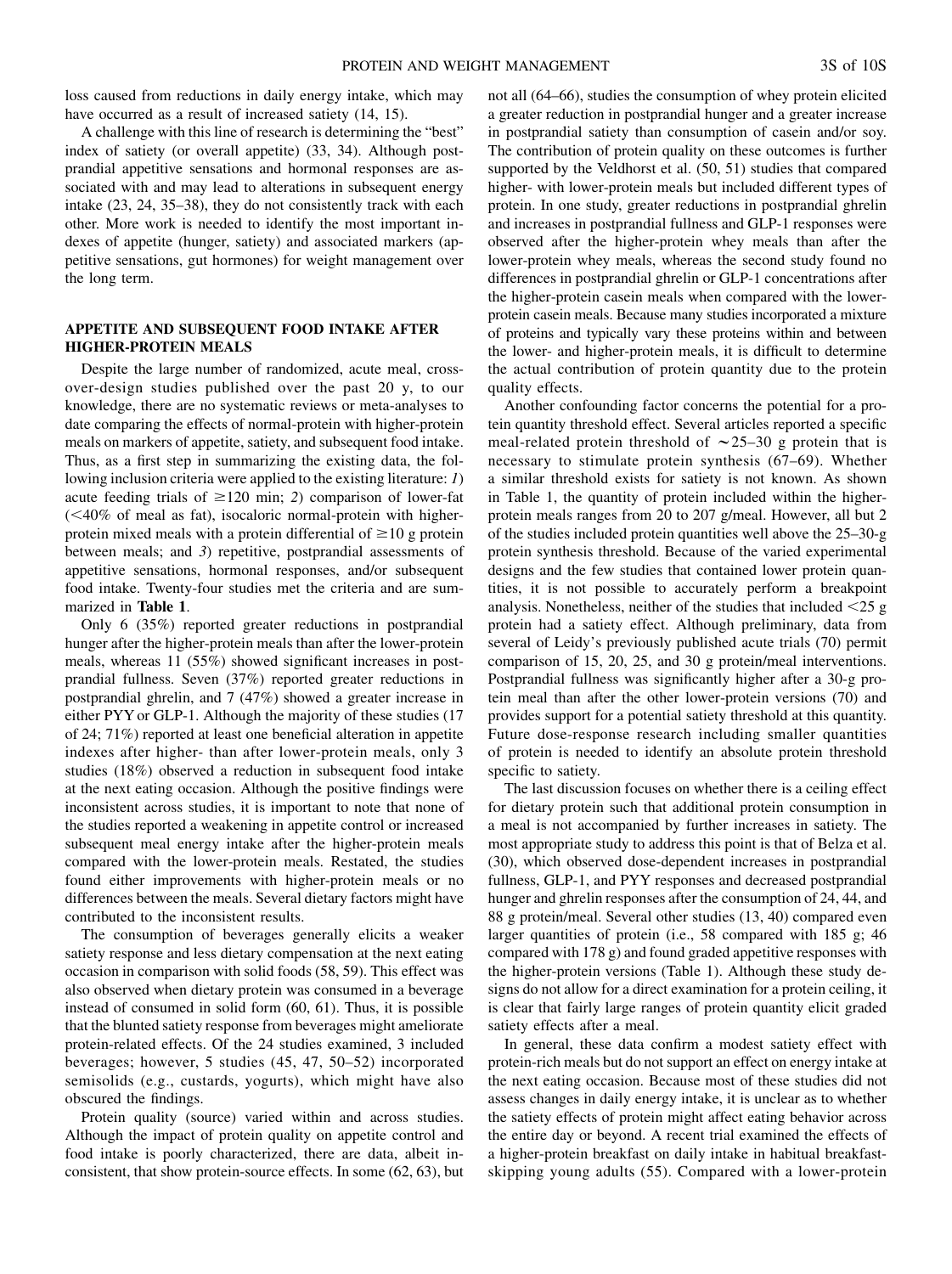loss caused from reductions in daily energy intake, which may have occurred as a result of increased satiety (14, 15).

A challenge with this line of research is determining the "best" index of satiety (or overall appetite) (33, 34). Although postprandial appetitive sensations and hormonal responses are associated with and may lead to alterations in subsequent energy intake (23, 24, 35–38), they do not consistently track with each other. More work is needed to identify the most important indexes of appetite (hunger, satiety) and associated markers (appetitive sensations, gut hormones) for weight management over the long term.

### APPETITE AND SUBSEQUENT FOOD INTAKE AFTER HIGHER-PROTEIN MEALS

Despite the large number of randomized, acute meal, crossover-design studies published over the past 20 y, to our knowledge, there are no systematic reviews or meta-analyses to date comparing the effects of normal-protein with higher-protein meals on markers of appetite, satiety, and subsequent food intake. Thus, as a first step in summarizing the existing data, the following inclusion criteria were applied to the existing literature: 1) acute feeding trials of  $\geq$ 120 min; 2) comparison of lower-fat  $(<$ 40% of meal as fat), isocaloric normal-protein with higherprotein mixed meals with a protein differential of  $\geq 10$  g protein between meals; and 3) repetitive, postprandial assessments of appetitive sensations, hormonal responses, and/or subsequent food intake. Twenty-four studies met the criteria and are summarized in Table 1.

Only 6 (35%) reported greater reductions in postprandial hunger after the higher-protein meals than after the lower-protein meals, whereas 11 (55%) showed significant increases in postprandial fullness. Seven (37%) reported greater reductions in postprandial ghrelin, and 7 (47%) showed a greater increase in either PYY or GLP-1. Although the majority of these studies (17 of 24; 71%) reported at least one beneficial alteration in appetite indexes after higher- than after lower-protein meals, only 3 studies (18%) observed a reduction in subsequent food intake at the next eating occasion. Although the positive findings were inconsistent across studies, it is important to note that none of the studies reported a weakening in appetite control or increased subsequent meal energy intake after the higher-protein meals compared with the lower-protein meals. Restated, the studies found either improvements with higher-protein meals or no differences between the meals. Several dietary factors might have contributed to the inconsistent results.

The consumption of beverages generally elicits a weaker satiety response and less dietary compensation at the next eating occasion in comparison with solid foods (58, 59). This effect was also observed when dietary protein was consumed in a beverage instead of consumed in solid form (60, 61). Thus, it is possible that the blunted satiety response from beverages might ameliorate protein-related effects. Of the 24 studies examined, 3 included beverages; however, 5 studies (45, 47, 50–52) incorporated semisolids (e.g., custards, yogurts), which might have also obscured the findings.

Protein quality (source) varied within and across studies. Although the impact of protein quality on appetite control and food intake is poorly characterized, there are data, albeit inconsistent, that show protein-source effects. In some (62, 63), but not all (64–66), studies the consumption of whey protein elicited a greater reduction in postprandial hunger and a greater increase in postprandial satiety than consumption of casein and/or soy. The contribution of protein quality on these outcomes is further supported by the Veldhorst et al. (50, 51) studies that compared higher- with lower-protein meals but included different types of protein. In one study, greater reductions in postprandial ghrelin and increases in postprandial fullness and GLP-1 responses were observed after the higher-protein whey meals than after the lower-protein whey meals, whereas the second study found no differences in postprandial ghrelin or GLP-1 concentrations after the higher-protein casein meals when compared with the lowerprotein casein meals. Because many studies incorporated a mixture of proteins and typically vary these proteins within and between the lower- and higher-protein meals, it is difficult to determine the actual contribution of protein quantity due to the protein quality effects.

Another confounding factor concerns the potential for a protein quantity threshold effect. Several articles reported a specific meal-related protein threshold of  $\sim$ 25–30 g protein that is necessary to stimulate protein synthesis (67–69). Whether a similar threshold exists for satiety is not known. As shown in Table 1, the quantity of protein included within the higherprotein meals ranges from 20 to 207 g/meal. However, all but 2 of the studies included protein quantities well above the 25–30-g protein synthesis threshold. Because of the varied experimental designs and the few studies that contained lower protein quantities, it is not possible to accurately perform a breakpoint analysis. Nonetheless, neither of the studies that included  $\leq$ 25 g protein had a satiety effect. Although preliminary, data from several of Leidy's previously published acute trials (70) permit comparison of 15, 20, 25, and 30 g protein/meal interventions. Postprandial fullness was significantly higher after a 30-g protein meal than after the other lower-protein versions (70) and provides support for a potential satiety threshold at this quantity. Future dose-response research including smaller quantities of protein is needed to identify an absolute protein threshold specific to satiety.

The last discussion focuses on whether there is a ceiling effect for dietary protein such that additional protein consumption in a meal is not accompanied by further increases in satiety. The most appropriate study to address this point is that of Belza et al. (30), which observed dose-dependent increases in postprandial fullness, GLP-1, and PYY responses and decreased postprandial hunger and ghrelin responses after the consumption of 24, 44, and 88 g protein/meal. Several other studies (13, 40) compared even larger quantities of protein (i.e., 58 compared with 185 g; 46 compared with 178 g) and found graded appetitive responses with the higher-protein versions (Table 1). Although these study designs do not allow for a direct examination for a protein ceiling, it is clear that fairly large ranges of protein quantity elicit graded satiety effects after a meal.

In general, these data confirm a modest satiety effect with protein-rich meals but do not support an effect on energy intake at the next eating occasion. Because most of these studies did not assess changes in daily energy intake, it is unclear as to whether the satiety effects of protein might affect eating behavior across the entire day or beyond. A recent trial examined the effects of a higher-protein breakfast on daily intake in habitual breakfastskipping young adults (55). Compared with a lower-protein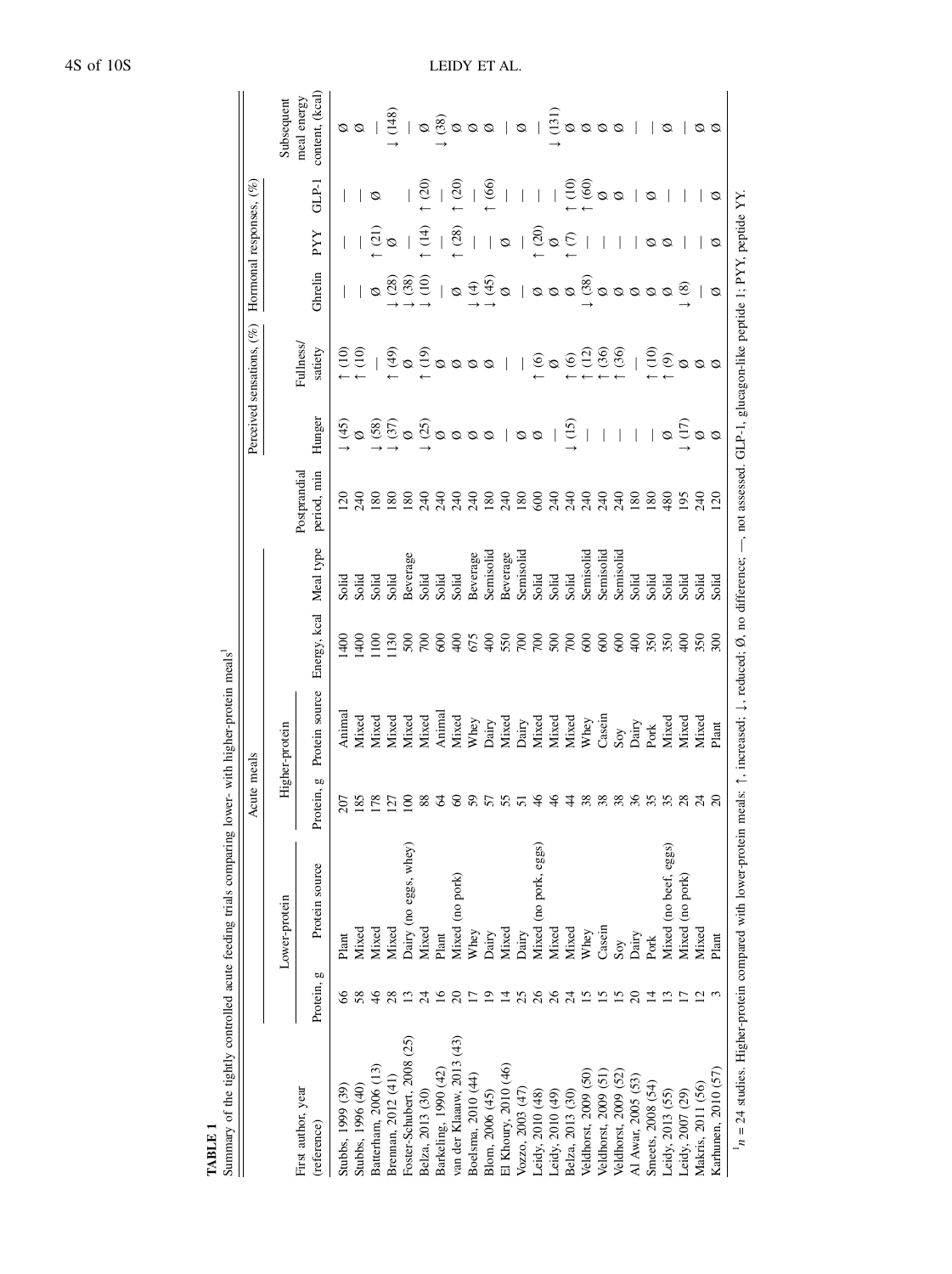| $\overline{\phantom{0}}$ |   |
|--------------------------|---|
| Þ<br>ŕ.                  | į |
|                          |   |
| Þ<br>م                   | ĺ |
|                          | ĺ |
| É                        |   |
|                          | U |

TABLE 1<br>Summary of the tightly controlled acute feeding trials comparing lower- with higher-protein meals<sup>1</sup> Summary of the tightly controlled acute feeding trials comparing lower- with higher-protein meals1

|                                   |            |                       | Acute meals             |                                                                                     |                 |                |                            |                                                                                                                                                                                                                                                                                                                     | Perceived sensations, (%) | Hormonal responses, (%)        |                                                                                                                                       |                          |                                                                 |
|-----------------------------------|------------|-----------------------|-------------------------|-------------------------------------------------------------------------------------|-----------------|----------------|----------------------------|---------------------------------------------------------------------------------------------------------------------------------------------------------------------------------------------------------------------------------------------------------------------------------------------------------------------|---------------------------|--------------------------------|---------------------------------------------------------------------------------------------------------------------------------------|--------------------------|-----------------------------------------------------------------|
|                                   |            | Lower-protein         |                         | Higher-protein                                                                      |                 |                |                            |                                                                                                                                                                                                                                                                                                                     |                           |                                |                                                                                                                                       |                          | Subsequent                                                      |
| First author, year<br>(reference) | Protein, g | Protein source        | otein, g<br>모           | Protein source                                                                      | Energy, kcal    | Meal type      | period, min<br>Postprandia | Hunger                                                                                                                                                                                                                                                                                                              | Fullness/<br>satiety      | Ghrelin                        | PYY                                                                                                                                   | GLP-1                    | content, (kcal<br>meal energy                                   |
| Stubbs, 1999 (39)                 |            | Plant                 | 207                     | Animal                                                                              | 400             | Solid          | <b>20</b>                  |                                                                                                                                                                                                                                                                                                                     | (10)                      |                                |                                                                                                                                       |                          |                                                                 |
| Stubbs, 1996 (40)                 | 58         | Mixed                 | 185                     | Mixed                                                                               | $\frac{400}{2}$ |                | 240                        |                                                                                                                                                                                                                                                                                                                     | $\frac{1}{2}$             |                                |                                                                                                                                       |                          | $\varnothing$                                                   |
| Batterham, 2006 (13)              | 46         | Mixed                 | $\overline{18}$         | Mixed                                                                               | 100             | Solid<br>Solid | 180                        |                                                                                                                                                                                                                                                                                                                     | $\overline{1}$            | Ø                              |                                                                                                                                       | Ø                        |                                                                 |
| Brennan, 2012 (41)                | 28         | Mixed                 | <u>121</u>              | Mixed                                                                               | $\frac{130}{2}$ | Solid          | 180                        | $\frac{1}{2}$ $\frac{1}{2}$ $\frac{1}{2}$ $\frac{1}{2}$ $\frac{1}{2}$ $\frac{1}{2}$ $\frac{1}{2}$ $\frac{1}{2}$ $\frac{1}{2}$ $\frac{1}{2}$ $\frac{1}{2}$ $\frac{1}{2}$ $\frac{1}{2}$ $\frac{1}{2}$ $\frac{1}{2}$ $\frac{1}{2}$ $\frac{1}{2}$ $\frac{1}{2}$ $\frac{1}{2}$ $\frac{1}{2}$ $\frac{1}{2}$ $\frac{1}{2}$ |                           |                                | $\frac{1}{\alpha}$                                                                                                                    |                          | (148)                                                           |
| Foster-Schubert, 2008 (25)        |            | Dairy (no eggs, whey) | $\overline{\mathsf{S}}$ | Mixed                                                                               | 500             | Beverage       | 180                        |                                                                                                                                                                                                                                                                                                                     |                           |                                | $\overline{\phantom{a}}$                                                                                                              |                          |                                                                 |
| Belza, 2013 (30)                  |            | Mixed                 | 88                      | Mixed                                                                               | $\approx$       | Solid          | 240                        |                                                                                                                                                                                                                                                                                                                     |                           | $(28)$<br>$(36)$               |                                                                                                                                       | (20)                     |                                                                 |
| Barkeling, 1990 (42)              |            | Plant                 | Z                       | Animal                                                                              | 600             | Solid          | $\approx$                  |                                                                                                                                                                                                                                                                                                                     |                           |                                |                                                                                                                                       |                          |                                                                 |
| van der Klaauw, 2013 (43)         |            | Mixed (no pork)       | 8                       | Mixed                                                                               | $\frac{6}{3}$   | Solid          | $\approx$                  |                                                                                                                                                                                                                                                                                                                     |                           |                                | $\begin{array}{c} \begin{array}{c} \text{1} \\ \text{2} \end{array} \\ \begin{array}{c} \text{2} \\ \text{2} \end{array} \end{array}$ | (20)                     |                                                                 |
| Boelsma, 2010 (44)                |            | Whey                  | ၵ                       |                                                                                     | 675             | Beverage       | 240                        |                                                                                                                                                                                                                                                                                                                     | $\frac{2}{3}$             | $  \circ \hat{\theta} \rangle$ |                                                                                                                                       |                          | $\begin{array}{c} \circ \\ \circ \\ \circ \\ \circ \end{array}$ |
| Blom, 2006 (45)                   |            | Dairy<br>Mixed        | 57                      |                                                                                     | $rac{400}{2}$   | Semisolic      | 180                        |                                                                                                                                                                                                                                                                                                                     |                           |                                | $\begin{array}{c} \hline \end{array}$                                                                                                 | (66)                     |                                                                 |
| El Khoury, 2010 (46)              |            |                       | 55                      |                                                                                     | 550             | Beverage       | 240                        |                                                                                                                                                                                                                                                                                                                     | $\overline{\phantom{a}}$  |                                | $\varnothing$                                                                                                                         |                          | $\overline{\phantom{a}}$                                        |
| Vozzo, 2003 (47)                  |            | Dairy                 | 51                      |                                                                                     | $\infty$        | Semisolic      | 180                        |                                                                                                                                                                                                                                                                                                                     | $\overline{\phantom{a}}$  | $\bar{\bar{1}}$                | $\bar{1}$                                                                                                                             | $\overline{\phantom{a}}$ | Ø                                                               |
| Leidy, 2010 (48)                  |            | Mixed (no pork, eggs) | $\frac{8}{3}$           | Whey<br>Dairy<br>Mixed<br>Dairy<br>Mixed<br>Mixed<br>Mixed<br>Mixed<br>Whey<br>Whey | $\approx$       | Solid          | 600                        |                                                                                                                                                                                                                                                                                                                     |                           |                                |                                                                                                                                       | $\overline{\mathbb{L}}$  |                                                                 |
| Leidy, 2010 (49)                  |            | Mixed                 | $\frac{8}{3}$           |                                                                                     | 500             | Solid          | 240                        | $\overline{\phantom{a}}$                                                                                                                                                                                                                                                                                            | $\circledcirc$            |                                |                                                                                                                                       | $\overline{\phantom{a}}$ | (131)                                                           |
| Belza, 2013 (30)                  |            | Mixed                 | 生                       |                                                                                     | $\approx$       | Solid          | 240                        | (15)                                                                                                                                                                                                                                                                                                                |                           |                                | $\frac{1}{2}$                                                                                                                         |                          | Ø                                                               |
| Veldhorst, 2009 (50)              |            | Whey                  | 38                      |                                                                                     | 600             | Semisolic      | 240                        |                                                                                                                                                                                                                                                                                                                     | 6288                      |                                |                                                                                                                                       | 9600                     | $\varnothing$                                                   |
| Veldhorst, 2009 (51               |            | Casein                | 38                      |                                                                                     | 600             | Semisolic      | 240                        | $\overline{\phantom{a}}$                                                                                                                                                                                                                                                                                            |                           |                                |                                                                                                                                       |                          |                                                                 |
| Veldhorst, 2009 (52)              |            |                       | 38                      |                                                                                     | 600             | Semisolic      | 240                        | $\overline{\phantom{a}}$                                                                                                                                                                                                                                                                                            |                           |                                |                                                                                                                                       |                          | $\varnothing$                                                   |
| Al Awar, 2005 (53)                |            | Soy<br>Dairy          | $\%$                    |                                                                                     | $rac{1}{2}$     | Solid          | 180                        |                                                                                                                                                                                                                                                                                                                     | $\overline{1}$            |                                |                                                                                                                                       |                          |                                                                 |
| Smeets, 2008 (54)                 |            | Pork                  | 35                      |                                                                                     | 350             | Solid          | 180                        |                                                                                                                                                                                                                                                                                                                     |                           | $\varnothing$                  |                                                                                                                                       | Ø                        |                                                                 |
| Leidy, 2013 (55)                  |            | Mixed (no beef, eggs) | 35                      | Soy<br>Dairy<br>Mixed<br>Mixed                                                      | 350             | Solid          | 480                        | $ $ $ $ $\circ$ $\frac{1}{2}$ $\circ$ $\circ$                                                                                                                                                                                                                                                                       | $\frac{1}{2}$             |                                |                                                                                                                                       |                          | Ø                                                               |
| Leidy, 2007 (29)                  |            | Mixed (no pork)       | $\infty$                | Mixed                                                                               | $\frac{8}{3}$   | Solid<br>Solid | 195                        |                                                                                                                                                                                                                                                                                                                     | $\alpha$                  | $\circledast$                  |                                                                                                                                       |                          |                                                                 |
| Makris, 2011 (56)                 |            | Mixed                 | Z                       | Mixec                                                                               | 350             |                | $\approx$                  |                                                                                                                                                                                                                                                                                                                     |                           |                                |                                                                                                                                       |                          |                                                                 |
| Karhunen, 2010 (57)               |            | Plant                 | ສ                       | Plant                                                                               | $\approx$       | solic          | $\overline{20}$            |                                                                                                                                                                                                                                                                                                                     | $\varnothing$             | Ø                              | Ø                                                                                                                                     | Ø                        |                                                                 |

 $\tilde{h}_n$ 

= 24 studies. Higher-protein compared with lower-protein meals: [, increased; Y, reduced; Ø, no difference; —, not assessed. GLP-1, glucagon-like peptide 1; PYY, peptide YY.

4S of 10S LEIDY ET AL.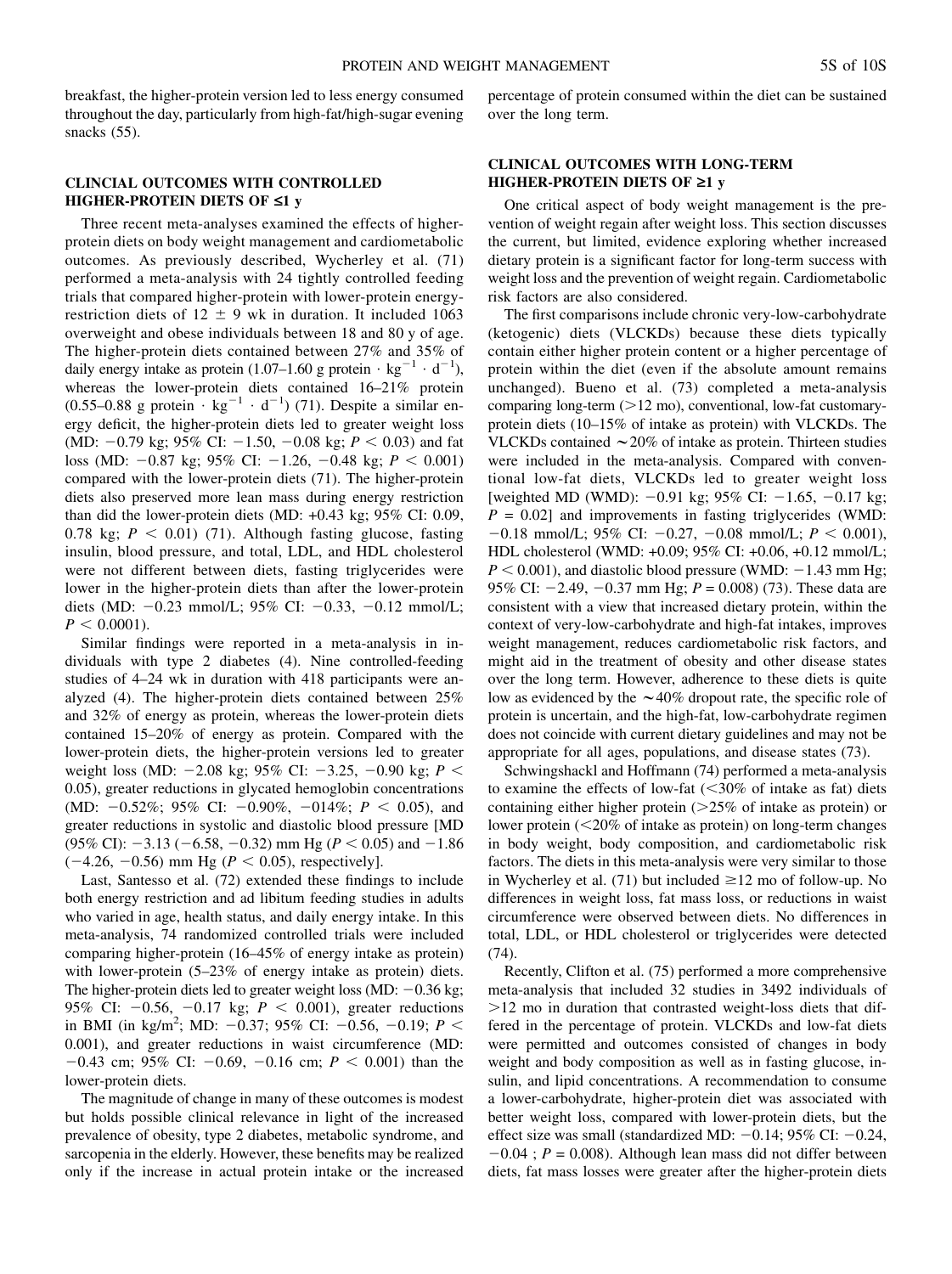breakfast, the higher-protein version led to less energy consumed throughout the day, particularly from high-fat/high-sugar evening snacks (55).

# CLINCIAL OUTCOMES WITH CONTROLLED HIGHER-PROTEIN DIETS OF  $\leq 1$  y

Three recent meta-analyses examined the effects of higherprotein diets on body weight management and cardiometabolic outcomes. As previously described, Wycherley et al. (71) performed a meta-analysis with 24 tightly controlled feeding trials that compared higher-protein with lower-protein energyrestriction diets of 12  $\pm$  9 wk in duration. It included 1063 overweight and obese individuals between 18 and 80 y of age. The higher-protein diets contained between 27% and 35% of daily energy intake as protein (1.07–1.60 g protein  $\cdot$  kg<sup>-1</sup>  $\cdot$  d<sup>-1</sup>), whereas the lower-protein diets contained 16–21% protein (0.55–0.88 g protein  $\cdot$  kg<sup>-1</sup>  $\cdot$  d<sup>-1</sup>) (71). Despite a similar energy deficit, the higher-protein diets led to greater weight loss (MD:  $-0.79$  kg; 95% CI:  $-1.50$ ,  $-0.08$  kg;  $P < 0.03$ ) and fat loss (MD:  $-0.87$  kg; 95% CI:  $-1.26$ ,  $-0.48$  kg;  $P < 0.001$ ) compared with the lower-protein diets (71). The higher-protein diets also preserved more lean mass during energy restriction than did the lower-protein diets (MD: +0.43 kg; 95% CI: 0.09, 0.78 kg;  $P < 0.01$  (71). Although fasting glucose, fasting insulin, blood pressure, and total, LDL, and HDL cholesterol were not different between diets, fasting triglycerides were lower in the higher-protein diets than after the lower-protein diets (MD:  $-0.23$  mmol/L; 95% CI:  $-0.33$ ,  $-0.12$  mmol/L;  $P < 0.0001$ .

Similar findings were reported in a meta-analysis in individuals with type 2 diabetes (4). Nine controlled-feeding studies of 4–24 wk in duration with 418 participants were analyzed (4). The higher-protein diets contained between 25% and 32% of energy as protein, whereas the lower-protein diets contained 15–20% of energy as protein. Compared with the lower-protein diets, the higher-protein versions led to greater weight loss (MD:  $-2.08$  kg; 95% CI:  $-3.25$ ,  $-0.90$  kg;  $P <$ 0.05), greater reductions in glycated hemoglobin concentrations (MD:  $-0.52\%$ ; 95% CI:  $-0.90\%$ ,  $-0.14\%$ ;  $P < 0.05$ ), and greater reductions in systolic and diastolic blood pressure [MD  $(95\% \text{ CI})$ :  $-3.13$  ( $-6.58$ ,  $-0.32$ ) mm Hg ( $P < 0.05$ ) and  $-1.86$  $(-4.26, -0.56)$  mm Hg ( $P < 0.05$ ), respectively].

Last, Santesso et al. (72) extended these findings to include both energy restriction and ad libitum feeding studies in adults who varied in age, health status, and daily energy intake. In this meta-analysis, 74 randomized controlled trials were included comparing higher-protein (16–45% of energy intake as protein) with lower-protein  $(5-23\%$  of energy intake as protein) diets. The higher-protein diets led to greater weight loss (MD:  $-0.36$  kg; 95% CI:  $-0.56$ ,  $-0.17$  kg;  $P < 0.001$ ), greater reductions in BMI (in kg/m<sup>2</sup>; MD:  $-0.37$ ; 95% CI:  $-0.56$ ,  $-0.19$ ;  $P <$ 0.001), and greater reductions in waist circumference (MD:  $-0.43$  cm; 95% CI:  $-0.69$ ,  $-0.16$  cm;  $P < 0.001$ ) than the lower-protein diets.

The magnitude of change in many of these outcomes is modest but holds possible clinical relevance in light of the increased prevalence of obesity, type 2 diabetes, metabolic syndrome, and sarcopenia in the elderly. However, these benefits may be realized only if the increase in actual protein intake or the increased percentage of protein consumed within the diet can be sustained over the long term.

#### CLINICAL OUTCOMES WITH LONG-TERM HIGHER-PROTEIN DIETS OF  $\geq 1$  y

One critical aspect of body weight management is the prevention of weight regain after weight loss. This section discusses the current, but limited, evidence exploring whether increased dietary protein is a significant factor for long-term success with weight loss and the prevention of weight regain. Cardiometabolic risk factors are also considered.

The first comparisons include chronic very-low-carbohydrate (ketogenic) diets (VLCKDs) because these diets typically contain either higher protein content or a higher percentage of protein within the diet (even if the absolute amount remains unchanged). Bueno et al. (73) completed a meta-analysis comparing long-term  $(>12 \text{ mo})$ , conventional, low-fat customaryprotein diets (10–15% of intake as protein) with VLCKDs. The VLCKDs contained  $\sim$  20% of intake as protein. Thirteen studies were included in the meta-analysis. Compared with conventional low-fat diets, VLCKDs led to greater weight loss [weighted MD (WMD):  $-0.91$  kg; 95% CI:  $-1.65$ ,  $-0.17$  kg;  $P = 0.02$ ] and improvements in fasting triglycerides (WMD:  $-0.18$  mmol/L; 95% CI:  $-0.27$ ,  $-0.08$  mmol/L;  $P < 0.001$ ), HDL cholesterol (WMD: +0.09; 95% CI: +0.06, +0.12 mmol/L;  $P < 0.001$ ), and diastolic blood pressure (WMD:  $-1.43$  mm Hg; 95% CI:  $-2.49, -0.37$  mm Hg;  $P = 0.008$ ) (73). These data are consistent with a view that increased dietary protein, within the context of very-low-carbohydrate and high-fat intakes, improves weight management, reduces cardiometabolic risk factors, and might aid in the treatment of obesity and other disease states over the long term. However, adherence to these diets is quite low as evidenced by the  $\sim$  40% dropout rate, the specific role of protein is uncertain, and the high-fat, low-carbohydrate regimen does not coincide with current dietary guidelines and may not be appropriate for all ages, populations, and disease states (73).

Schwingshackl and Hoffmann (74) performed a meta-analysis to examine the effects of low-fat  $(< 30\%$  of intake as fat) diets containing either higher protein  $(>=25\%$  of intake as protein) or lower protein  $(<20\%$  of intake as protein) on long-term changes in body weight, body composition, and cardiometabolic risk factors. The diets in this meta-analysis were very similar to those in Wycherley et al. (71) but included  $\geq$ 12 mo of follow-up. No differences in weight loss, fat mass loss, or reductions in waist circumference were observed between diets. No differences in total, LDL, or HDL cholesterol or triglycerides were detected (74).

Recently, Clifton et al. (75) performed a more comprehensive meta-analysis that included 32 studies in 3492 individuals of  $>12$  mo in duration that contrasted weight-loss diets that differed in the percentage of protein. VLCKDs and low-fat diets were permitted and outcomes consisted of changes in body weight and body composition as well as in fasting glucose, insulin, and lipid concentrations. A recommendation to consume a lower-carbohydrate, higher-protein diet was associated with better weight loss, compared with lower-protein diets, but the effect size was small (standardized MD:  $-0.14$ ; 95% CI:  $-0.24$ ,  $-0.04$ ;  $P = 0.008$ ). Although lean mass did not differ between diets, fat mass losses were greater after the higher-protein diets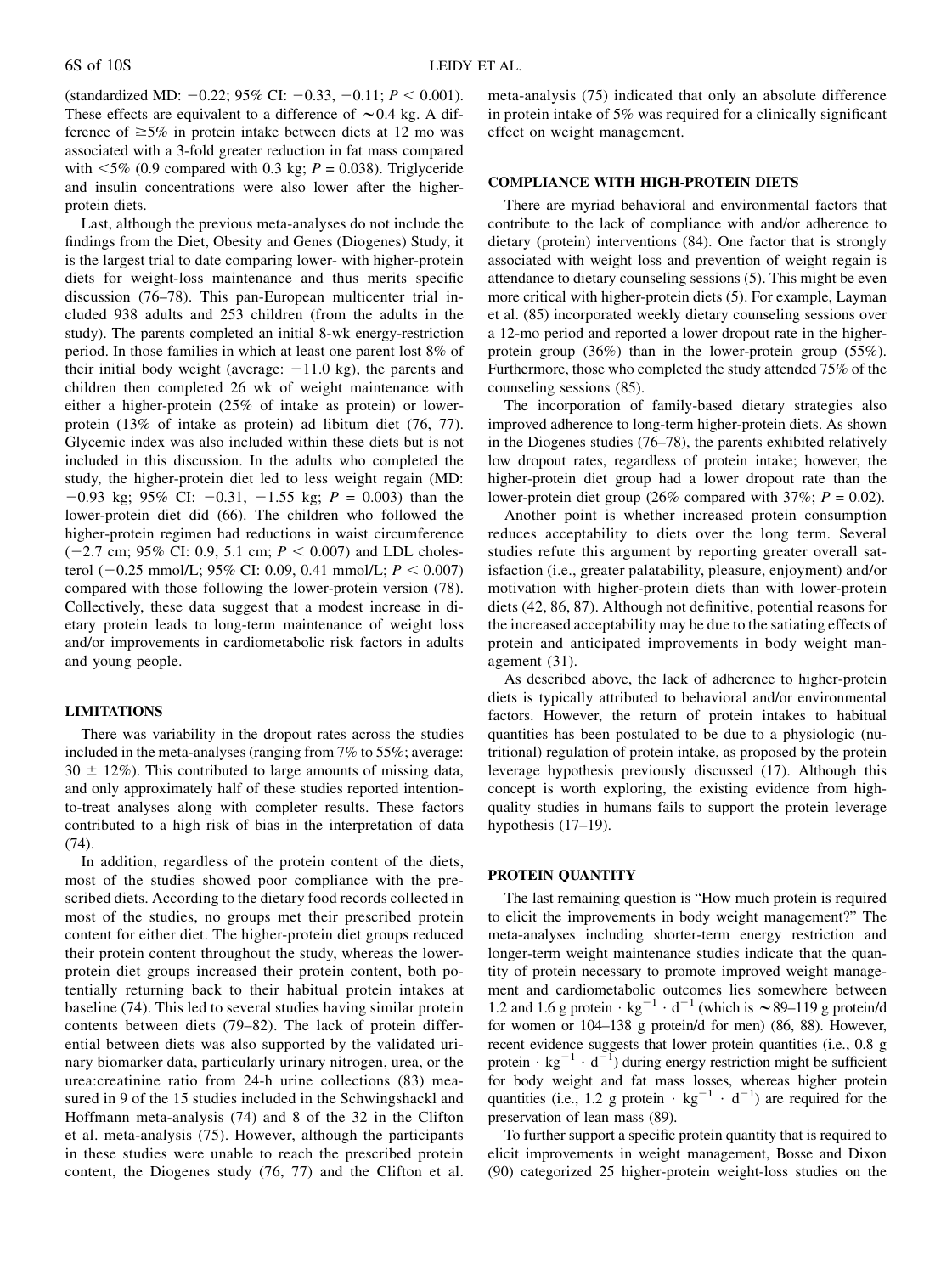(standardized MD:  $-0.22$ ; 95% CI:  $-0.33$ ,  $-0.11$ ;  $P < 0.001$ ). These effects are equivalent to a difference of  $\sim 0.4$  kg. A difference of  $\geq 5\%$  in protein intake between diets at 12 mo was associated with a 3-fold greater reduction in fat mass compared with  $\leq 5\%$  (0.9 compared with 0.3 kg;  $P = 0.038$ ). Triglyceride and insulin concentrations were also lower after the higherprotein diets.

Last, although the previous meta-analyses do not include the findings from the Diet, Obesity and Genes (Diogenes) Study, it is the largest trial to date comparing lower- with higher-protein diets for weight-loss maintenance and thus merits specific discussion (76–78). This pan-European multicenter trial included 938 adults and 253 children (from the adults in the study). The parents completed an initial 8-wk energy-restriction period. In those families in which at least one parent lost 8% of their initial body weight (average:  $-11.0 \text{ kg}$ ), the parents and children then completed 26 wk of weight maintenance with either a higher-protein (25% of intake as protein) or lowerprotein (13% of intake as protein) ad libitum diet (76, 77). Glycemic index was also included within these diets but is not included in this discussion. In the adults who completed the study, the higher-protein diet led to less weight regain (MD:  $-0.93$  kg; 95% CI:  $-0.31$ ,  $-1.55$  kg;  $P = 0.003$ ) than the lower-protein diet did (66). The children who followed the higher-protein regimen had reductions in waist circumference  $(-2.7 \text{ cm}; 95\% \text{ CI}: 0.9, 5.1 \text{ cm}; P < 0.007)$  and LDL cholesterol ( $-0.25$  mmol/L; 95% CI: 0.09, 0.41 mmol/L;  $P < 0.007$ ) compared with those following the lower-protein version (78). Collectively, these data suggest that a modest increase in dietary protein leads to long-term maintenance of weight loss and/or improvements in cardiometabolic risk factors in adults and young people.

## LIMITATIONS

There was variability in the dropout rates across the studies included in the meta-analyses (ranging from 7% to 55%; average:  $30 \pm 12\%$ ). This contributed to large amounts of missing data, and only approximately half of these studies reported intentionto-treat analyses along with completer results. These factors contributed to a high risk of bias in the interpretation of data (74).

In addition, regardless of the protein content of the diets, most of the studies showed poor compliance with the prescribed diets. According to the dietary food records collected in most of the studies, no groups met their prescribed protein content for either diet. The higher-protein diet groups reduced their protein content throughout the study, whereas the lowerprotein diet groups increased their protein content, both potentially returning back to their habitual protein intakes at baseline (74). This led to several studies having similar protein contents between diets (79–82). The lack of protein differential between diets was also supported by the validated urinary biomarker data, particularly urinary nitrogen, urea, or the urea:creatinine ratio from 24-h urine collections (83) measured in 9 of the 15 studies included in the Schwingshackl and Hoffmann meta-analysis (74) and 8 of the 32 in the Clifton et al. meta-analysis (75). However, although the participants in these studies were unable to reach the prescribed protein content, the Diogenes study (76, 77) and the Clifton et al.

meta-analysis (75) indicated that only an absolute difference in protein intake of 5% was required for a clinically significant effect on weight management.

#### COMPLIANCE WITH HIGH-PROTEIN DIETS

There are myriad behavioral and environmental factors that contribute to the lack of compliance with and/or adherence to dietary (protein) interventions (84). One factor that is strongly associated with weight loss and prevention of weight regain is attendance to dietary counseling sessions (5). This might be even more critical with higher-protein diets (5). For example, Layman et al. (85) incorporated weekly dietary counseling sessions over a 12-mo period and reported a lower dropout rate in the higherprotein group (36%) than in the lower-protein group (55%). Furthermore, those who completed the study attended 75% of the counseling sessions (85).

The incorporation of family-based dietary strategies also improved adherence to long-term higher-protein diets. As shown in the Diogenes studies (76–78), the parents exhibited relatively low dropout rates, regardless of protein intake; however, the higher-protein diet group had a lower dropout rate than the lower-protein diet group (26% compared with 37%;  $P = 0.02$ ).

Another point is whether increased protein consumption reduces acceptability to diets over the long term. Several studies refute this argument by reporting greater overall satisfaction (i.e., greater palatability, pleasure, enjoyment) and/or motivation with higher-protein diets than with lower-protein diets (42, 86, 87). Although not definitive, potential reasons for the increased acceptability may be due to the satiating effects of protein and anticipated improvements in body weight management (31).

As described above, the lack of adherence to higher-protein diets is typically attributed to behavioral and/or environmental factors. However, the return of protein intakes to habitual quantities has been postulated to be due to a physiologic (nutritional) regulation of protein intake, as proposed by the protein leverage hypothesis previously discussed (17). Although this concept is worth exploring, the existing evidence from highquality studies in humans fails to support the protein leverage hypothesis (17–19).

#### PROTEIN QUANTITY

The last remaining question is "How much protein is required to elicit the improvements in body weight management?" The meta-analyses including shorter-term energy restriction and longer-term weight maintenance studies indicate that the quantity of protein necessary to promote improved weight management and cardiometabolic outcomes lies somewhere between 1.2 and 1.6 g protein  $\cdot$  kg<sup>-1</sup>  $\cdot$  d<sup>-1</sup> (which is  $\sim$  89–119 g protein/d for women or 104–138 g protein/d for men) (86, 88). However, recent evidence suggests that lower protein quantities (i.e., 0.8 g protein  $\cdot$  kg<sup>-1</sup>  $\cdot$  d<sup>-1</sup>) during energy restriction might be sufficient for body weight and fat mass losses, whereas higher protein quantities (i.e., 1.2 g protein  $\cdot$  kg<sup>-1</sup>  $\cdot$  d<sup>-1</sup>) are required for the preservation of lean mass (89).

To further support a specific protein quantity that is required to elicit improvements in weight management, Bosse and Dixon (90) categorized 25 higher-protein weight-loss studies on the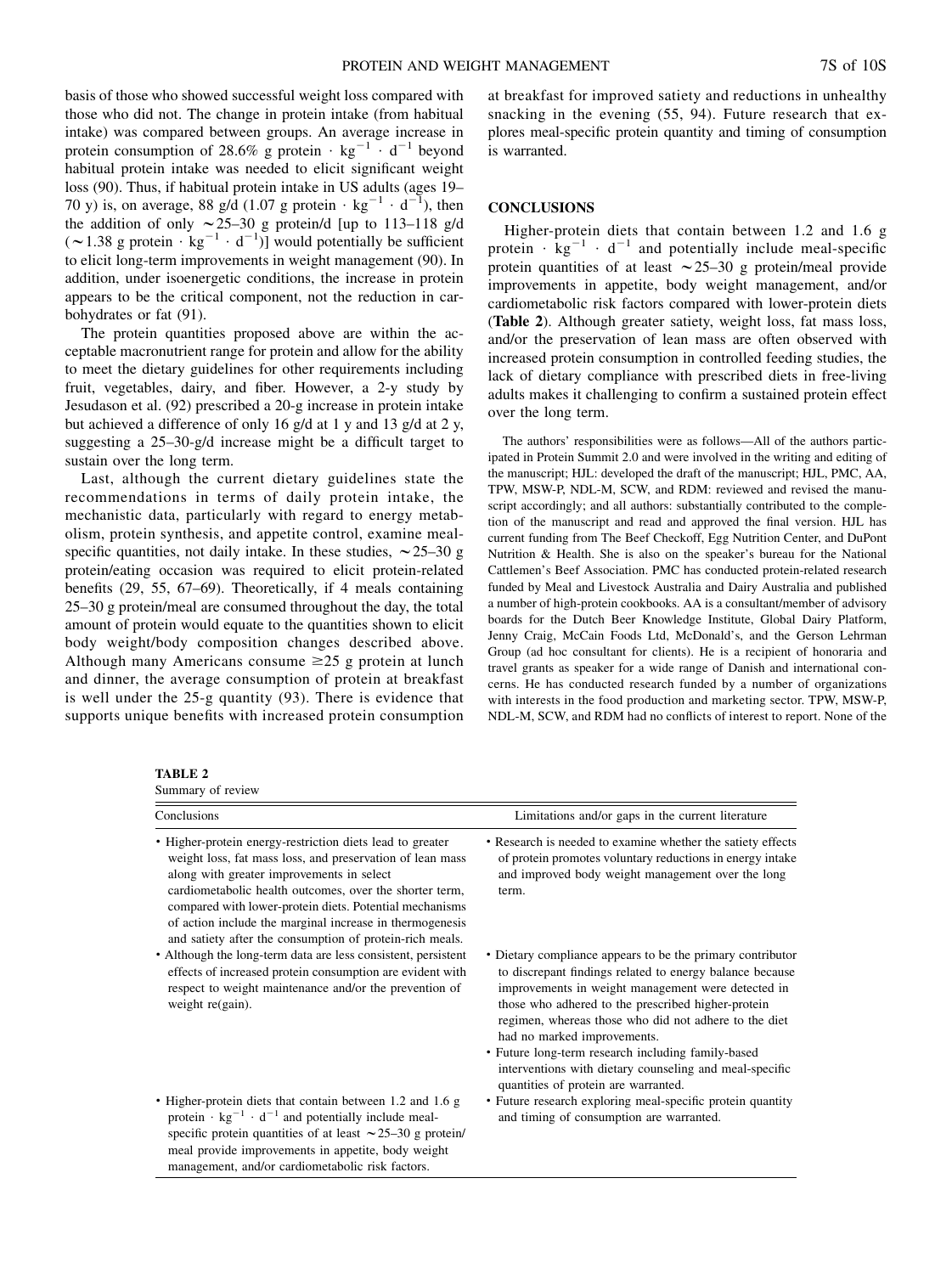basis of those who showed successful weight loss compared with those who did not. The change in protein intake (from habitual intake) was compared between groups. An average increase in protein consumption of 28.6% g protein  $\cdot$  kg<sup>-1</sup>  $\cdot$  d<sup>-1</sup> beyond habitual protein intake was needed to elicit significant weight loss (90). Thus, if habitual protein intake in US adults (ages 19– 70 y) is, on average, 88 g/d (1.07 g protein  $\cdot$  kg<sup>-1</sup>  $\cdot$  d<sup>-1</sup>), then the addition of only  $\sim$  25–30 g protein/d [up to 113–118 g/d  $(\sim 1.38 \text{ g protein} \cdot \text{kg}^{-1} \cdot \text{d}^{-1})$  would potentially be sufficient to elicit long-term improvements in weight management (90). In addition, under isoenergetic conditions, the increase in protein appears to be the critical component, not the reduction in carbohydrates or fat (91).

The protein quantities proposed above are within the acceptable macronutrient range for protein and allow for the ability to meet the dietary guidelines for other requirements including fruit, vegetables, dairy, and fiber. However, a 2-y study by Jesudason et al. (92) prescribed a 20-g increase in protein intake but achieved a difference of only 16 g/d at 1 y and 13 g/d at 2 y, suggesting a 25–30-g/d increase might be a difficult target to sustain over the long term.

Last, although the current dietary guidelines state the recommendations in terms of daily protein intake, the mechanistic data, particularly with regard to energy metabolism, protein synthesis, and appetite control, examine mealspecific quantities, not daily intake. In these studies,  $\sim$  25–30 g protein/eating occasion was required to elicit protein-related benefits (29, 55, 67–69). Theoretically, if 4 meals containing 25–30 g protein/meal are consumed throughout the day, the total amount of protein would equate to the quantities shown to elicit body weight/body composition changes described above. Although many Americans consume  $\geq 25$  g protein at lunch and dinner, the average consumption of protein at breakfast is well under the 25-g quantity (93). There is evidence that supports unique benefits with increased protein consumption

management, and/or cardiometabolic risk factors.

at breakfast for improved satiety and reductions in unhealthy snacking in the evening (55, 94). Future research that explores meal-specific protein quantity and timing of consumption is warranted.

#### **CONCLUSIONS**

Higher-protein diets that contain between 1.2 and 1.6 g protein  $\cdot$  kg<sup>-1</sup>  $\cdot$  d<sup>-1</sup> and potentially include meal-specific protein quantities of at least  $\sim$  25–30 g protein/meal provide improvements in appetite, body weight management, and/or cardiometabolic risk factors compared with lower-protein diets (Table 2). Although greater satiety, weight loss, fat mass loss, and/or the preservation of lean mass are often observed with increased protein consumption in controlled feeding studies, the lack of dietary compliance with prescribed diets in free-living adults makes it challenging to confirm a sustained protein effect over the long term.

The authors' responsibilities were as follows—All of the authors participated in Protein Summit 2.0 and were involved in the writing and editing of the manuscript; HJL: developed the draft of the manuscript; HJL, PMC, AA, TPW, MSW-P, NDL-M, SCW, and RDM: reviewed and revised the manuscript accordingly; and all authors: substantially contributed to the completion of the manuscript and read and approved the final version. HJL has current funding from The Beef Checkoff, Egg Nutrition Center, and DuPont Nutrition & Health. She is also on the speaker's bureau for the National Cattlemen's Beef Association. PMC has conducted protein-related research funded by Meal and Livestock Australia and Dairy Australia and published a number of high-protein cookbooks. AA is a consultant/member of advisory boards for the Dutch Beer Knowledge Institute, Global Dairy Platform, Jenny Craig, McCain Foods Ltd, McDonald's, and the Gerson Lehrman Group (ad hoc consultant for clients). He is a recipient of honoraria and travel grants as speaker for a wide range of Danish and international concerns. He has conducted research funded by a number of organizations with interests in the food production and marketing sector. TPW, MSW-P, NDL-M, SCW, and RDM had no conflicts of interest to report. None of the

| TABLE 2 |  |
|---------|--|
|---------|--|

| Summary of review |  |
|-------------------|--|
|-------------------|--|

| Conclusions                                                                                                                                                                                                                                                                                                                                                                                                       | Limitations and/or gaps in the current literature                                                                                                                                                                                                                                                                                                                                                                                           |
|-------------------------------------------------------------------------------------------------------------------------------------------------------------------------------------------------------------------------------------------------------------------------------------------------------------------------------------------------------------------------------------------------------------------|---------------------------------------------------------------------------------------------------------------------------------------------------------------------------------------------------------------------------------------------------------------------------------------------------------------------------------------------------------------------------------------------------------------------------------------------|
| • Higher-protein energy-restriction diets lead to greater<br>weight loss, fat mass loss, and preservation of lean mass<br>along with greater improvements in select<br>cardiometabolic health outcomes, over the shorter term,<br>compared with lower-protein diets. Potential mechanisms<br>of action include the marginal increase in thermogenesis<br>and satiety after the consumption of protein-rich meals. | • Research is needed to examine whether the satiety effects<br>of protein promotes voluntary reductions in energy intake<br>and improved body weight management over the long<br>term.                                                                                                                                                                                                                                                      |
| • Although the long-term data are less consistent, persistent<br>effects of increased protein consumption are evident with<br>respect to weight maintenance and/or the prevention of<br>weight $re(gain)$ .                                                                                                                                                                                                       | • Dietary compliance appears to be the primary contributor<br>to discrepant findings related to energy balance because<br>improvements in weight management were detected in<br>those who adhered to the prescribed higher-protein<br>regimen, whereas those who did not adhere to the diet<br>had no marked improvements.<br>• Future long-term research including family-based<br>interventions with dietary counseling and meal-specific |
| • Higher-protein diets that contain between 1.2 and 1.6 g<br>protein $\cdot$ kg <sup>-1</sup> $\cdot$ d <sup>-1</sup> and potentially include meal-<br>specific protein quantities of at least $\sim$ 25–30 g protein/<br>meal provide improvements in appetite, body weight                                                                                                                                      | quantities of protein are warranted.<br>• Future research exploring meal-specific protein quantity<br>and timing of consumption are warranted.                                                                                                                                                                                                                                                                                              |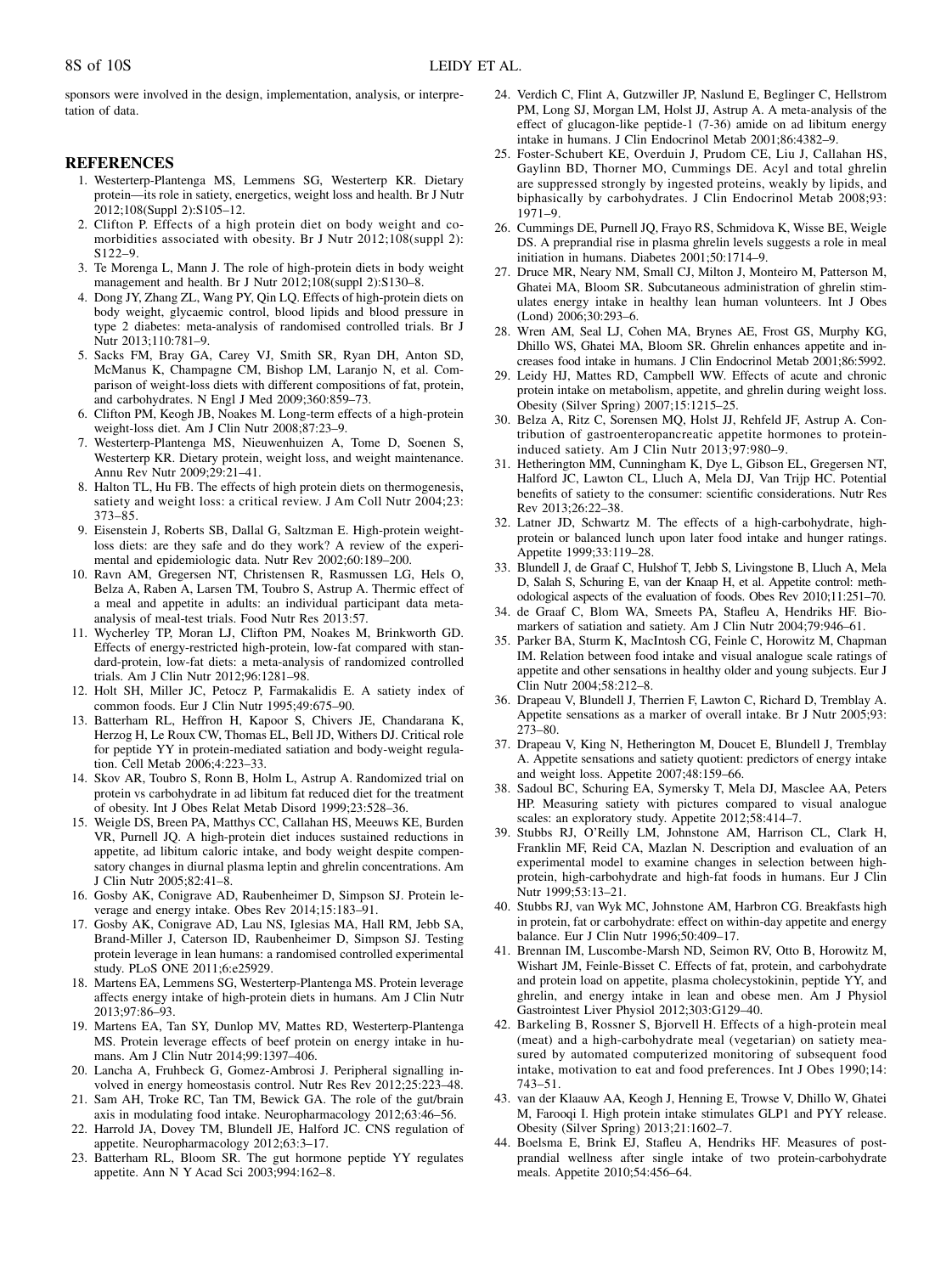sponsors were involved in the design, implementation, analysis, or interpretation of data.

## **REFERENCES**

- 1. Westerterp-Plantenga MS, Lemmens SG, Westerterp KR. Dietary protein—its role in satiety, energetics, weight loss and health. Br J Nutr 2012;108(Suppl 2):S105–12.
- 2. Clifton P. Effects of a high protein diet on body weight and comorbidities associated with obesity. Br J Nutr 2012;108(suppl 2): S122–9.
- 3. Te Morenga L, Mann J. The role of high-protein diets in body weight management and health. Br J Nutr 2012;108(suppl 2):S130–8.
- 4. Dong JY, Zhang ZL, Wang PY, Qin LQ. Effects of high-protein diets on body weight, glycaemic control, blood lipids and blood pressure in type 2 diabetes: meta-analysis of randomised controlled trials. Br J Nutr 2013;110:781–9.
- 5. Sacks FM, Bray GA, Carey VJ, Smith SR, Ryan DH, Anton SD, McManus K, Champagne CM, Bishop LM, Laranjo N, et al. Comparison of weight-loss diets with different compositions of fat, protein, and carbohydrates. N Engl J Med 2009;360:859–73.
- 6. Clifton PM, Keogh JB, Noakes M. Long-term effects of a high-protein weight-loss diet. Am J Clin Nutr 2008;87:23–9.
- 7. Westerterp-Plantenga MS, Nieuwenhuizen A, Tome D, Soenen S, Westerterp KR. Dietary protein, weight loss, and weight maintenance. Annu Rev Nutr 2009;29:21–41.
- 8. Halton TL, Hu FB. The effects of high protein diets on thermogenesis, satiety and weight loss: a critical review. J Am Coll Nutr 2004;23: 373–85.
- 9. Eisenstein J, Roberts SB, Dallal G, Saltzman E. High-protein weightloss diets: are they safe and do they work? A review of the experimental and epidemiologic data. Nutr Rev 2002;60:189–200.
- 10. Ravn AM, Gregersen NT, Christensen R, Rasmussen LG, Hels O, Belza A, Raben A, Larsen TM, Toubro S, Astrup A. Thermic effect of a meal and appetite in adults: an individual participant data metaanalysis of meal-test trials. Food Nutr Res 2013:57.
- 11. Wycherley TP, Moran LJ, Clifton PM, Noakes M, Brinkworth GD. Effects of energy-restricted high-protein, low-fat compared with standard-protein, low-fat diets: a meta-analysis of randomized controlled trials. Am J Clin Nutr 2012;96:1281–98.
- 12. Holt SH, Miller JC, Petocz P, Farmakalidis E. A satiety index of common foods. Eur J Clin Nutr 1995;49:675–90.
- 13. Batterham RL, Heffron H, Kapoor S, Chivers JE, Chandarana K, Herzog H, Le Roux CW, Thomas EL, Bell JD, Withers DJ. Critical role for peptide YY in protein-mediated satiation and body-weight regulation. Cell Metab 2006;4:223–33.
- 14. Skov AR, Toubro S, Ronn B, Holm L, Astrup A. Randomized trial on protein vs carbohydrate in ad libitum fat reduced diet for the treatment of obesity. Int J Obes Relat Metab Disord 1999;23:528–36.
- 15. Weigle DS, Breen PA, Matthys CC, Callahan HS, Meeuws KE, Burden VR, Purnell JQ. A high-protein diet induces sustained reductions in appetite, ad libitum caloric intake, and body weight despite compensatory changes in diurnal plasma leptin and ghrelin concentrations. Am J Clin Nutr 2005;82:41–8.
- 16. Gosby AK, Conigrave AD, Raubenheimer D, Simpson SJ. Protein leverage and energy intake. Obes Rev 2014;15:183–91.
- 17. Gosby AK, Conigrave AD, Lau NS, Iglesias MA, Hall RM, Jebb SA, Brand-Miller J, Caterson ID, Raubenheimer D, Simpson SJ. Testing protein leverage in lean humans: a randomised controlled experimental study. PLoS ONE 2011;6:e25929.
- 18. Martens EA, Lemmens SG, Westerterp-Plantenga MS. Protein leverage affects energy intake of high-protein diets in humans. Am J Clin Nutr 2013;97:86–93.
- 19. Martens EA, Tan SY, Dunlop MV, Mattes RD, Westerterp-Plantenga MS. Protein leverage effects of beef protein on energy intake in humans. Am J Clin Nutr 2014;99:1397–406.
- 20. Lancha A, Fruhbeck G, Gomez-Ambrosi J. Peripheral signalling involved in energy homeostasis control. Nutr Res Rev 2012;25:223–48.
- 21. Sam AH, Troke RC, Tan TM, Bewick GA. The role of the gut/brain axis in modulating food intake. Neuropharmacology 2012;63:46–56.
- 22. Harrold JA, Dovey TM, Blundell JE, Halford JC. CNS regulation of appetite. Neuropharmacology 2012;63:3–17.
- 23. Batterham RL, Bloom SR. The gut hormone peptide YY regulates appetite. Ann N Y Acad Sci 2003;994:162–8.
- 24. Verdich C, Flint A, Gutzwiller JP, Naslund E, Beglinger C, Hellstrom PM, Long SJ, Morgan LM, Holst JJ, Astrup A. A meta-analysis of the effect of glucagon-like peptide-1 (7-36) amide on ad libitum energy intake in humans. J Clin Endocrinol Metab 2001;86:4382–9.
- 25. Foster-Schubert KE, Overduin J, Prudom CE, Liu J, Callahan HS, Gaylinn BD, Thorner MO, Cummings DE. Acyl and total ghrelin are suppressed strongly by ingested proteins, weakly by lipids, and biphasically by carbohydrates. J Clin Endocrinol Metab 2008;93: 1971–9.
- 26. Cummings DE, Purnell JQ, Frayo RS, Schmidova K, Wisse BE, Weigle DS. A preprandial rise in plasma ghrelin levels suggests a role in meal initiation in humans. Diabetes 2001;50:1714–9.
- 27. Druce MR, Neary NM, Small CJ, Milton J, Monteiro M, Patterson M, Ghatei MA, Bloom SR. Subcutaneous administration of ghrelin stimulates energy intake in healthy lean human volunteers. Int J Obes (Lond) 2006;30:293–6.
- 28. Wren AM, Seal LJ, Cohen MA, Brynes AE, Frost GS, Murphy KG, Dhillo WS, Ghatei MA, Bloom SR. Ghrelin enhances appetite and increases food intake in humans. J Clin Endocrinol Metab 2001;86:5992.
- 29. Leidy HJ, Mattes RD, Campbell WW. Effects of acute and chronic protein intake on metabolism, appetite, and ghrelin during weight loss. Obesity (Silver Spring) 2007;15:1215–25.
- 30. Belza A, Ritz C, Sorensen MQ, Holst JJ, Rehfeld JF, Astrup A. Contribution of gastroenteropancreatic appetite hormones to proteininduced satiety. Am J Clin Nutr 2013;97:980–9.
- 31. Hetherington MM, Cunningham K, Dye L, Gibson EL, Gregersen NT, Halford JC, Lawton CL, Lluch A, Mela DJ, Van Trijp HC. Potential benefits of satiety to the consumer: scientific considerations. Nutr Res Rev 2013;26:22–38.
- 32. Latner JD, Schwartz M. The effects of a high-carbohydrate, highprotein or balanced lunch upon later food intake and hunger ratings. Appetite 1999;33:119–28.
- 33. Blundell J, de Graaf C, Hulshof T, Jebb S, Livingstone B, Lluch A, Mela D, Salah S, Schuring E, van der Knaap H, et al. Appetite control: methodological aspects of the evaluation of foods. Obes Rev 2010;11:251–70.
- 34. de Graaf C, Blom WA, Smeets PA, Stafleu A, Hendriks HF. Biomarkers of satiation and satiety. Am J Clin Nutr 2004;79:946–61.
- 35. Parker BA, Sturm K, MacIntosh CG, Feinle C, Horowitz M, Chapman IM. Relation between food intake and visual analogue scale ratings of appetite and other sensations in healthy older and young subjects. Eur J Clin Nutr 2004;58:212–8.
- 36. Drapeau V, Blundell J, Therrien F, Lawton C, Richard D, Tremblay A. Appetite sensations as a marker of overall intake. Br J Nutr 2005;93: 273–80.
- 37. Drapeau V, King N, Hetherington M, Doucet E, Blundell J, Tremblay A. Appetite sensations and satiety quotient: predictors of energy intake and weight loss. Appetite 2007;48:159–66.
- 38. Sadoul BC, Schuring EA, Symersky T, Mela DJ, Masclee AA, Peters HP. Measuring satiety with pictures compared to visual analogue scales: an exploratory study. Appetite 2012;58:414–7.
- 39. Stubbs RJ, O'Reilly LM, Johnstone AM, Harrison CL, Clark H, Franklin MF, Reid CA, Mazlan N. Description and evaluation of an experimental model to examine changes in selection between highprotein, high-carbohydrate and high-fat foods in humans. Eur J Clin Nutr 1999;53:13–21.
- 40. Stubbs RJ, van Wyk MC, Johnstone AM, Harbron CG. Breakfasts high in protein, fat or carbohydrate: effect on within-day appetite and energy balance. Eur J Clin Nutr 1996;50:409–17.
- 41. Brennan IM, Luscombe-Marsh ND, Seimon RV, Otto B, Horowitz M, Wishart JM, Feinle-Bisset C. Effects of fat, protein, and carbohydrate and protein load on appetite, plasma cholecystokinin, peptide YY, and ghrelin, and energy intake in lean and obese men. Am J Physiol Gastrointest Liver Physiol 2012;303:G129–40.
- 42. Barkeling B, Rossner S, Bjorvell H. Effects of a high-protein meal (meat) and a high-carbohydrate meal (vegetarian) on satiety measured by automated computerized monitoring of subsequent food intake, motivation to eat and food preferences. Int J Obes 1990;14: 743–51.
- 43. van der Klaauw AA, Keogh J, Henning E, Trowse V, Dhillo W, Ghatei M, Farooqi I. High protein intake stimulates GLP1 and PYY release. Obesity (Silver Spring) 2013;21:1602–7.
- 44. Boelsma E, Brink EJ, Stafleu A, Hendriks HF. Measures of postprandial wellness after single intake of two protein-carbohydrate meals. Appetite 2010;54:456–64.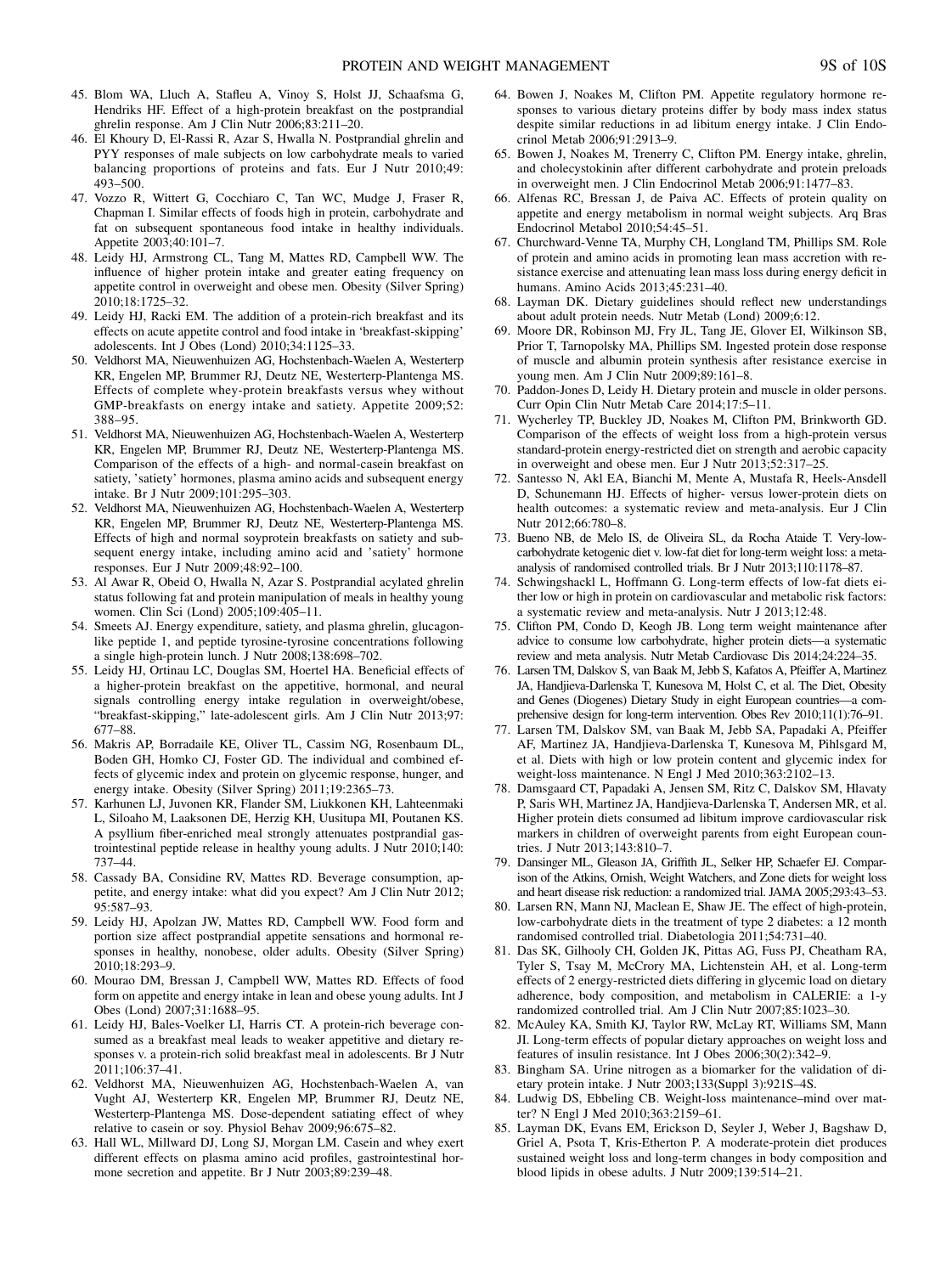- 45. Blom WA, Lluch A, Stafleu A, Vinoy S, Holst JJ, Schaafsma G, Hendriks HF. Effect of a high-protein breakfast on the postprandial ghrelin response. Am J Clin Nutr 2006;83:211–20.
- 46. El Khoury D, El-Rassi R, Azar S, Hwalla N. Postprandial ghrelin and PYY responses of male subjects on low carbohydrate meals to varied balancing proportions of proteins and fats. Eur J Nutr 2010;49: 493–500.
- 47. Vozzo R, Wittert G, Cocchiaro C, Tan WC, Mudge J, Fraser R, Chapman I. Similar effects of foods high in protein, carbohydrate and fat on subsequent spontaneous food intake in healthy individuals. Appetite 2003;40:101–7.
- 48. Leidy HJ, Armstrong CL, Tang M, Mattes RD, Campbell WW. The influence of higher protein intake and greater eating frequency on appetite control in overweight and obese men. Obesity (Silver Spring) 2010;18:1725–32.
- 49. Leidy HJ, Racki EM. The addition of a protein-rich breakfast and its effects on acute appetite control and food intake in 'breakfast-skipping' adolescents. Int J Obes (Lond) 2010;34:1125–33.
- 50. Veldhorst MA, Nieuwenhuizen AG, Hochstenbach-Waelen A, Westerterp KR, Engelen MP, Brummer RJ, Deutz NE, Westerterp-Plantenga MS. Effects of complete whey-protein breakfasts versus whey without GMP-breakfasts on energy intake and satiety. Appetite 2009;52: 388–95.
- 51. Veldhorst MA, Nieuwenhuizen AG, Hochstenbach-Waelen A, Westerterp KR, Engelen MP, Brummer RJ, Deutz NE, Westerterp-Plantenga MS. Comparison of the effects of a high- and normal-casein breakfast on satiety, 'satiety' hormones, plasma amino acids and subsequent energy intake. Br J Nutr 2009;101:295–303.
- 52. Veldhorst MA, Nieuwenhuizen AG, Hochstenbach-Waelen A, Westerterp KR, Engelen MP, Brummer RJ, Deutz NE, Westerterp-Plantenga MS. Effects of high and normal soyprotein breakfasts on satiety and subsequent energy intake, including amino acid and 'satiety' hormone responses. Eur J Nutr 2009;48:92–100.
- 53. Al Awar R, Obeid O, Hwalla N, Azar S. Postprandial acylated ghrelin status following fat and protein manipulation of meals in healthy young women. Clin Sci (Lond) 2005;109:405–11.
- 54. Smeets AJ. Energy expenditure, satiety, and plasma ghrelin, glucagonlike peptide 1, and peptide tyrosine-tyrosine concentrations following a single high-protein lunch. J Nutr 2008;138:698–702.
- 55. Leidy HJ, Ortinau LC, Douglas SM, Hoertel HA. Beneficial effects of a higher-protein breakfast on the appetitive, hormonal, and neural signals controlling energy intake regulation in overweight/obese, "breakfast-skipping," late-adolescent girls. Am J Clin Nutr 2013;97: 677–88.
- 56. Makris AP, Borradaile KE, Oliver TL, Cassim NG, Rosenbaum DL, Boden GH, Homko CJ, Foster GD. The individual and combined effects of glycemic index and protein on glycemic response, hunger, and energy intake. Obesity (Silver Spring) 2011;19:2365–73.
- 57. Karhunen LJ, Juvonen KR, Flander SM, Liukkonen KH, Lahteenmaki L, Siloaho M, Laaksonen DE, Herzig KH, Uusitupa MI, Poutanen KS. A psyllium fiber-enriched meal strongly attenuates postprandial gastrointestinal peptide release in healthy young adults. J Nutr 2010;140: 737–44.
- 58. Cassady BA, Considine RV, Mattes RD. Beverage consumption, appetite, and energy intake: what did you expect? Am J Clin Nutr 2012; 95:587–93.
- 59. Leidy HJ, Apolzan JW, Mattes RD, Campbell WW. Food form and portion size affect postprandial appetite sensations and hormonal responses in healthy, nonobese, older adults. Obesity (Silver Spring) 2010;18:293–9.
- 60. Mourao DM, Bressan J, Campbell WW, Mattes RD. Effects of food form on appetite and energy intake in lean and obese young adults. Int J Obes (Lond) 2007;31:1688–95.
- 61. Leidy HJ, Bales-Voelker LI, Harris CT. A protein-rich beverage consumed as a breakfast meal leads to weaker appetitive and dietary responses v. a protein-rich solid breakfast meal in adolescents. Br J Nutr 2011;106:37–41.
- 62. Veldhorst MA, Nieuwenhuizen AG, Hochstenbach-Waelen A, van Vught AJ, Westerterp KR, Engelen MP, Brummer RJ, Deutz NE, Westerterp-Plantenga MS. Dose-dependent satiating effect of whey relative to casein or soy. Physiol Behav 2009;96:675–82.
- 63. Hall WL, Millward DJ, Long SJ, Morgan LM. Casein and whey exert different effects on plasma amino acid profiles, gastrointestinal hormone secretion and appetite. Br J Nutr 2003;89:239–48.
- 64. Bowen J, Noakes M, Clifton PM. Appetite regulatory hormone responses to various dietary proteins differ by body mass index status despite similar reductions in ad libitum energy intake. J Clin Endocrinol Metab 2006;91:2913–9.
- 65. Bowen J, Noakes M, Trenerry C, Clifton PM. Energy intake, ghrelin, and cholecystokinin after different carbohydrate and protein preloads in overweight men. J Clin Endocrinol Metab 2006;91:1477–83.
- 66. Alfenas RC, Bressan J, de Paiva AC. Effects of protein quality on appetite and energy metabolism in normal weight subjects. Arq Bras Endocrinol Metabol 2010;54:45–51.
- 67. Churchward-Venne TA, Murphy CH, Longland TM, Phillips SM. Role of protein and amino acids in promoting lean mass accretion with resistance exercise and attenuating lean mass loss during energy deficit in humans. Amino Acids 2013;45:231–40.
- 68. Layman DK. Dietary guidelines should reflect new understandings about adult protein needs. Nutr Metab (Lond) 2009;6:12.
- 69. Moore DR, Robinson MJ, Fry JL, Tang JE, Glover EI, Wilkinson SB, Prior T, Tarnopolsky MA, Phillips SM. Ingested protein dose response of muscle and albumin protein synthesis after resistance exercise in young men. Am J Clin Nutr 2009;89:161–8.
- 70. Paddon-Jones D, Leidy H. Dietary protein and muscle in older persons. Curr Opin Clin Nutr Metab Care 2014;17:5–11.
- 71. Wycherley TP, Buckley JD, Noakes M, Clifton PM, Brinkworth GD. Comparison of the effects of weight loss from a high-protein versus standard-protein energy-restricted diet on strength and aerobic capacity in overweight and obese men. Eur J Nutr 2013;52:317–25.
- 72. Santesso N, Akl EA, Bianchi M, Mente A, Mustafa R, Heels-Ansdell D, Schunemann HJ. Effects of higher- versus lower-protein diets on health outcomes: a systematic review and meta-analysis. Eur J Clin Nutr 2012;66:780–8.
- 73. Bueno NB, de Melo IS, de Oliveira SL, da Rocha Ataide T. Very-lowcarbohydrate ketogenic diet v. low-fat diet for long-term weight loss: a metaanalysis of randomised controlled trials. Br J Nutr 2013;110:1178–87.
- 74. Schwingshackl L, Hoffmann G. Long-term effects of low-fat diets either low or high in protein on cardiovascular and metabolic risk factors: a systematic review and meta-analysis. Nutr J 2013;12:48.
- 75. Clifton PM, Condo D, Keogh JB. Long term weight maintenance after advice to consume low carbohydrate, higher protein diets—a systematic review and meta analysis. Nutr Metab Cardiovasc Dis 2014;24:224–35.
- 76. Larsen TM, Dalskov S, van Baak M, Jebb S, Kafatos A, Pfeiffer A, Martinez JA, Handjieva-Darlenska T, Kunesova M, Holst C, et al. The Diet, Obesity and Genes (Diogenes) Dietary Study in eight European countries—a comprehensive design for long-term intervention. Obes Rev 2010;11(1):76–91.
- 77. Larsen TM, Dalskov SM, van Baak M, Jebb SA, Papadaki A, Pfeiffer AF, Martinez JA, Handjieva-Darlenska T, Kunesova M, Pihlsgard M, et al. Diets with high or low protein content and glycemic index for weight-loss maintenance. N Engl J Med 2010;363:2102–13.
- 78. Damsgaard CT, Papadaki A, Jensen SM, Ritz C, Dalskov SM, Hlavaty P, Saris WH, Martinez JA, Handjieva-Darlenska T, Andersen MR, et al. Higher protein diets consumed ad libitum improve cardiovascular risk markers in children of overweight parents from eight European countries. J Nutr 2013;143:810–7.
- 79. Dansinger ML, Gleason JA, Griffith JL, Selker HP, Schaefer EJ. Comparison of the Atkins, Ornish, Weight Watchers, and Zone diets for weight loss and heart disease risk reduction: a randomized trial. JAMA 2005;293:43–53.
- 80. Larsen RN, Mann NJ, Maclean E, Shaw JE. The effect of high-protein, low-carbohydrate diets in the treatment of type 2 diabetes: a 12 month randomised controlled trial. Diabetologia 2011;54:731–40.
- 81. Das SK, Gilhooly CH, Golden JK, Pittas AG, Fuss PJ, Cheatham RA, Tyler S, Tsay M, McCrory MA, Lichtenstein AH, et al. Long-term effects of 2 energy-restricted diets differing in glycemic load on dietary adherence, body composition, and metabolism in CALERIE: a 1-y randomized controlled trial. Am J Clin Nutr 2007;85:1023–30.
- 82. McAuley KA, Smith KJ, Taylor RW, McLay RT, Williams SM, Mann JI. Long-term effects of popular dietary approaches on weight loss and features of insulin resistance. Int J Obes 2006;30(2):342–9.
- 83. Bingham SA. Urine nitrogen as a biomarker for the validation of dietary protein intake. J Nutr 2003;133(Suppl 3):921S–4S.
- 84. Ludwig DS, Ebbeling CB. Weight-loss maintenance–mind over matter? N Engl J Med 2010;363:2159-61.
- 85. Layman DK, Evans EM, Erickson D, Seyler J, Weber J, Bagshaw D, Griel A, Psota T, Kris-Etherton P. A moderate-protein diet produces sustained weight loss and long-term changes in body composition and blood lipids in obese adults. J Nutr 2009;139:514–21.